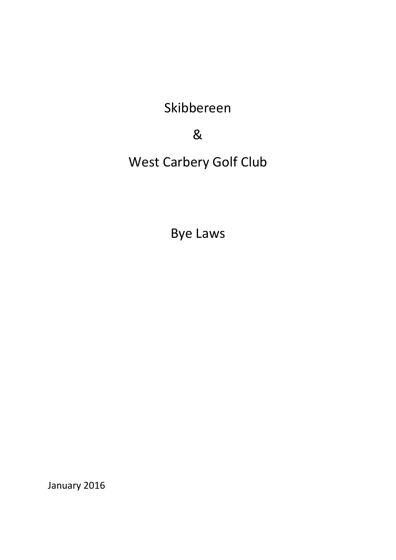Skibbereen

&

West Carbery Golf Club

Bye Laws

January 2016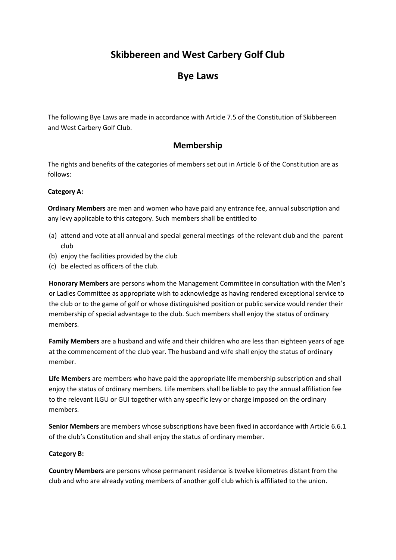# **Skibbereen and West Carbery Golf Club**

# **Bye Laws**

The following Bye Laws are made in accordance with Article 7.5 of the Constitution of Skibbereen and West Carbery Golf Club.

### **Membership**

The rights and benefits of the categories of members set out in Article 6 of the Constitution are as follows:

### **Category A:**

**Ordinary Members** are men and women who have paid any entrance fee, annual subscription and any levy applicable to this category. Such members shall be entitled to

- (a) attend and vote at all annual and special general meetings of the relevant club and the parent club
- (b) enjoy the facilities provided by the club
- (c) be elected as officers of the club.

**Honorary Members** are persons whom the Management Committee in consultation with the Men's or Ladies Committee as appropriate wish to acknowledge as having rendered exceptional service to the club or to the game of golf or whose distinguished position or public service would render their membership of special advantage to the club. Such members shall enjoy the status of ordinary members.

**Family Members** are a husband and wife and their children who are less than eighteen years of age at the commencement of the club year. The husband and wife shall enjoy the status of ordinary member.

**Life Members** are members who have paid the appropriate life membership subscription and shall enjoy the status of ordinary members. Life members shall be liable to pay the annual affiliation fee to the relevant ILGU or GUI together with any specific levy or charge imposed on the ordinary members.

**Senior Members** are members whose subscriptions have been fixed in accordance with Article 6.6.1 of the club's Constitution and shall enjoy the status of ordinary member.

#### **Category B:**

**Country Members** are persons whose permanent residence is twelve kilometres distant from the club and who are already voting members of another golf club which is affiliated to the union.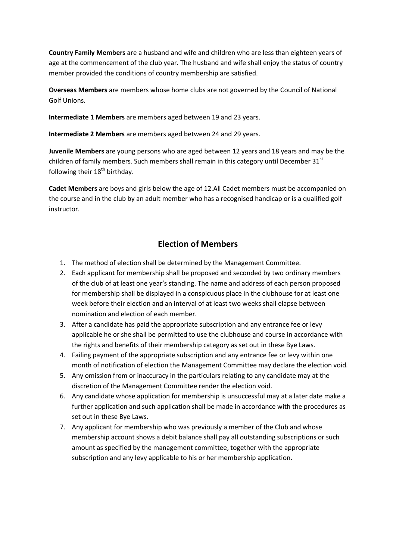**Country Family Members** are a husband and wife and children who are less than eighteen years of age at the commencement of the club year. The husband and wife shall enjoy the status of country member provided the conditions of country membership are satisfied.

**Overseas Members** are members whose home clubs are not governed by the Council of National Golf Unions.

**Intermediate 1 Members** are members aged between 19 and 23 years.

**Intermediate 2 Members** are members aged between 24 and 29 years.

**Juvenile Members** are young persons who are aged between 12 years and 18 years and may be the children of family members. Such members shall remain in this category until December  $31<sup>st</sup>$ following their  $18<sup>th</sup>$  birthday.

**Cadet Members** are boys and girls below the age of 12.All Cadet members must be accompanied on the course and in the club by an adult member who has a recognised handicap or is a qualified golf instructor.

## **Election of Members**

- 1. The method of election shall be determined by the Management Committee.
- 2. Each applicant for membership shall be proposed and seconded by two ordinary members of the club of at least one year's standing. The name and address of each person proposed for membership shall be displayed in a conspicuous place in the clubhouse for at least one week before their election and an interval of at least two weeks shall elapse between nomination and election of each member.
- 3. After a candidate has paid the appropriate subscription and any entrance fee or levy applicable he or she shall be permitted to use the clubhouse and course in accordance with the rights and benefits of their membership category as set out in these Bye Laws.
- 4. Failing payment of the appropriate subscription and any entrance fee or levy within one month of notification of election the Management Committee may declare the election void.
- 5. Any omission from or inaccuracy in the particulars relating to any candidate may at the discretion of the Management Committee render the election void.
- 6. Any candidate whose application for membership is unsuccessful may at a later date make a further application and such application shall be made in accordance with the procedures as set out in these Bye Laws.
- 7. Any applicant for membership who was previously a member of the Club and whose membership account shows a debit balance shall pay all outstanding subscriptions or such amount as specified by the management committee, together with the appropriate subscription and any levy applicable to his or her membership application.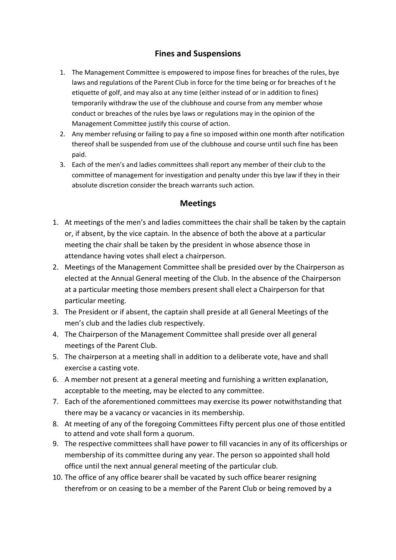## **Fines and Suspensions**

- 1. The Management Committee is empowered to impose fines for breaches of the rules, bye laws and regulations of the Parent Club in force for the time being or for breaches of t he etiquette of golf, and may also at any time (either instead of or in addition to fines) temporarily withdraw the use of the clubhouse and course from any member whose conduct or breaches of the rules bye laws or regulations may in the opinion of the Management Committee justify this course of action.
- 2. Any member refusing or failing to pay a fine so imposed within one month after notification thereof shall be suspended from use of the clubhouse and course until such fine has been paid.
- 3. Each of the men's and ladies committees shall report any member of their club to the committee of management for investigation and penalty under this bye law if they in their absolute discretion consider the breach warrants such action.

### **Meetings**

- 1. At meetings of the men's and ladies committees the chair shall be taken by the captain or, if absent, by the vice captain. In the absence of both the above at a particular meeting the chair shall be taken by the president in whose absence those in attendance having votes shall elect a chairperson.
- 2. Meetings of the Management Committee shall be presided over by the Chairperson as elected at the Annual General meeting of the Club. In the absence of the Chairperson at a particular meeting those members present shall elect a Chairperson for that particular meeting.
- 3. The President or if absent, the captain shall preside at all General Meetings of the men's club and the ladies club respectively.
- 4. The Chairperson of the Management Committee shall preside over all general meetings of the Parent Club.
- 5. The chairperson at a meeting shall in addition to a deliberate vote, have and shall exercise a casting vote.
- 6. A member not present at a general meeting and furnishing a written explanation, acceptable to the meeting, may be elected to any committee.
- 7. Each of the aforementioned committees may exercise its power notwithstanding that there may be a vacancy or vacancies in its membership.
- 8. At meeting of any of the foregoing Committees Fifty percent plus one of those entitled to attend and vote shall form a quorum.
- 9. The respective committees shall have power to fill vacancies in any of its officerships or membership of its committee during any year. The person so appointed shall hold office until the next annual general meeting of the particular club.
- 10. The office of any office bearer shall be vacated by such office bearer resigning therefrom or on ceasing to be a member of the Parent Club or being removed by a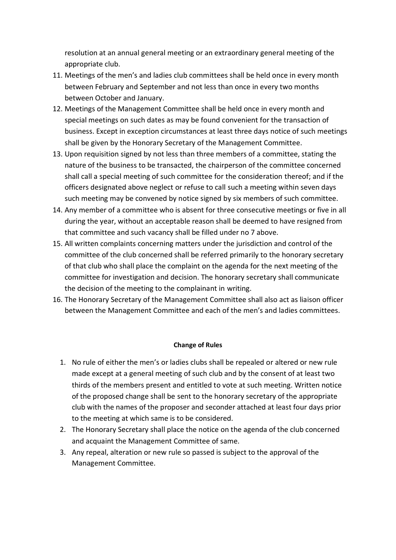resolution at an annual general meeting or an extraordinary general meeting of the appropriate club.

- 11. Meetings of the men's and ladies club committees shall be held once in every month between February and September and not less than once in every two months between October and January.
- 12. Meetings of the Management Committee shall be held once in every month and special meetings on such dates as may be found convenient for the transaction of business. Except in exception circumstances at least three days notice of such meetings shall be given by the Honorary Secretary of the Management Committee.
- 13. Upon requisition signed by not less than three members of a committee, stating the nature of the business to be transacted, the chairperson of the committee concerned shall call a special meeting of such committee for the consideration thereof; and if the officers designated above neglect or refuse to call such a meeting within seven days such meeting may be convened by notice signed by six members of such committee.
- 14. Any member of a committee who is absent for three consecutive meetings or five in all during the year, without an acceptable reason shall be deemed to have resigned from that committee and such vacancy shall be filled under no 7 above.
- 15. All written complaints concerning matters under the jurisdiction and control of the committee of the club concerned shall be referred primarily to the honorary secretary of that club who shall place the complaint on the agenda for the next meeting of the committee for investigation and decision. The honorary secretary shall communicate the decision of the meeting to the complainant in writing.
- 16. The Honorary Secretary of the Management Committee shall also act as liaison officer between the Management Committee and each of the men's and ladies committees.

#### **Change of Rules**

- 1. No rule of either the men's or ladies clubs shall be repealed or altered or new rule made except at a general meeting of such club and by the consent of at least two thirds of the members present and entitled to vote at such meeting. Written notice of the proposed change shall be sent to the honorary secretary of the appropriate club with the names of the proposer and seconder attached at least four days prior to the meeting at which same is to be considered.
- 2. The Honorary Secretary shall place the notice on the agenda of the club concerned and acquaint the Management Committee of same.
- 3. Any repeal, alteration or new rule so passed is subject to the approval of the Management Committee.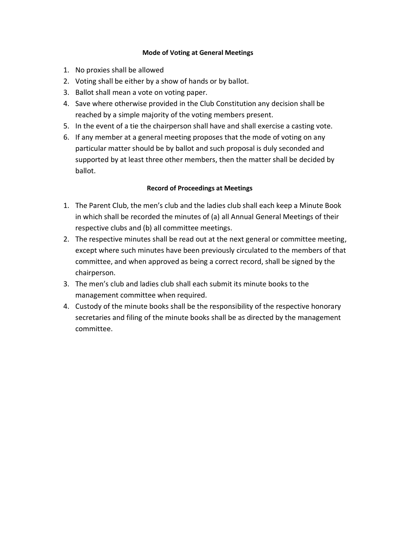### **Mode of Voting at General Meetings**

- 1. No proxies shall be allowed
- 2. Voting shall be either by a show of hands or by ballot.
- 3. Ballot shall mean a vote on voting paper.
- 4. Save where otherwise provided in the Club Constitution any decision shall be reached by a simple majority of the voting members present.
- 5. In the event of a tie the chairperson shall have and shall exercise a casting vote.
- 6. If any member at a general meeting proposes that the mode of voting on any particular matter should be by ballot and such proposal is duly seconded and supported by at least three other members, then the matter shall be decided by ballot.

### **Record of Proceedings at Meetings**

- 1. The Parent Club, the men's club and the ladies club shall each keep a Minute Book in which shall be recorded the minutes of (a) all Annual General Meetings of their respective clubs and (b) all committee meetings.
- 2. The respective minutes shall be read out at the next general or committee meeting, except where such minutes have been previously circulated to the members of that committee, and when approved as being a correct record, shall be signed by the chairperson.
- 3. The men's club and ladies club shall each submit its minute books to the management committee when required.
- 4. Custody of the minute books shall be the responsibility of the respective honorary secretaries and filing of the minute books shall be as directed by the management committee.